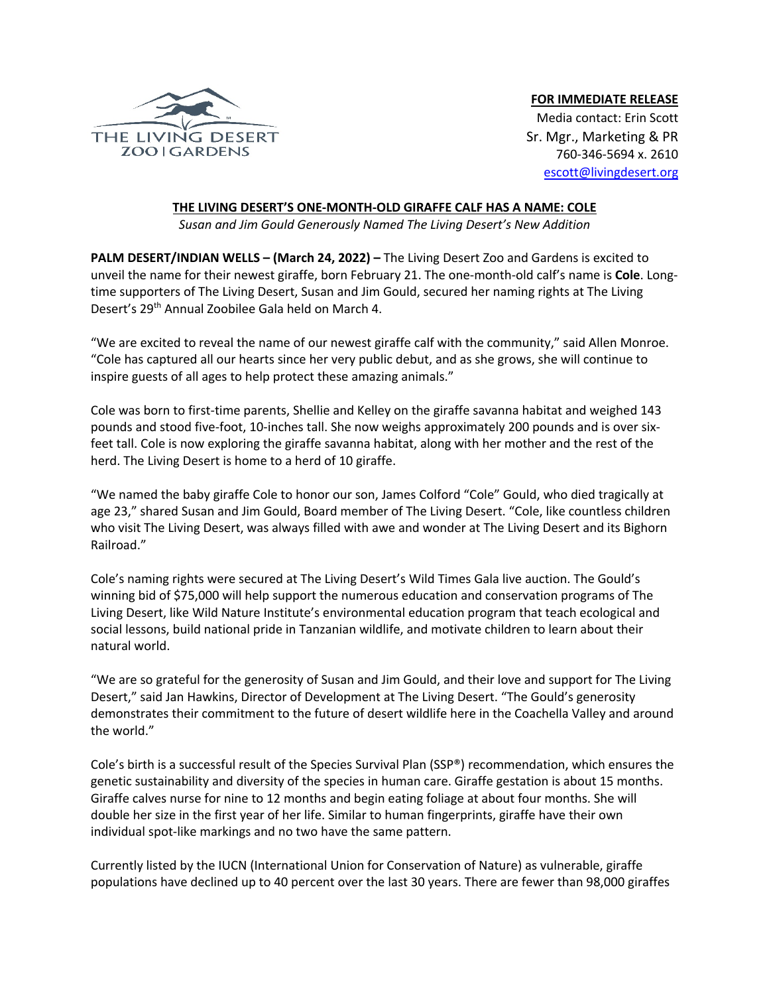

## **FOR IMMEDIATE RELEASE**

Media contact: Erin Scott Sr. Mgr., Marketing & PR 760-346-5694 x. 2610 escott@livingdesert.org

## **THE LIVING DESERT'S ONE-MONTH-OLD GIRAFFE CALF HAS A NAME: COLE**

*Susan and Jim Gould Generously Named The Living Desert's New Addition*

**PALM DESERT/INDIAN WELLS – (March 24, 2022) –** The Living Desert Zoo and Gardens is excited to unveil the name for their newest giraffe, born February 21. The one-month-old calf's name is **Cole**. Longtime supporters of The Living Desert, Susan and Jim Gould, secured her naming rights at The Living Desert's 29<sup>th</sup> Annual Zoobilee Gala held on March 4.

"We are excited to reveal the name of our newest giraffe calf with the community," said Allen Monroe. "Cole has captured all our hearts since her very public debut, and as she grows, she will continue to inspire guests of all ages to help protect these amazing animals."

Cole was born to first-time parents, Shellie and Kelley on the giraffe savanna habitat and weighed 143 pounds and stood five-foot, 10-inches tall. She now weighs approximately 200 pounds and is over sixfeet tall. Cole is now exploring the giraffe savanna habitat, along with her mother and the rest of the herd. The Living Desert is home to a herd of 10 giraffe.

"We named the baby giraffe Cole to honor our son, James Colford "Cole" Gould, who died tragically at age 23," shared Susan and Jim Gould, Board member of The Living Desert. "Cole, like countless children who visit The Living Desert, was always filled with awe and wonder at The Living Desert and its Bighorn Railroad."

Cole's naming rights were secured at The Living Desert's Wild Times Gala live auction. The Gould's winning bid of \$75,000 will help support the numerous education and conservation programs of The Living Desert, like Wild Nature Institute's environmental education program that teach ecological and social lessons, build national pride in Tanzanian wildlife, and motivate children to learn about their natural world.

"We are so grateful for the generosity of Susan and Jim Gould, and their love and support for The Living Desert," said Jan Hawkins, Director of Development at The Living Desert. "The Gould's generosity demonstrates their commitment to the future of desert wildlife here in the Coachella Valley and around the world."

Cole's birth is a successful result of the Species Survival Plan (SSP®) recommendation, which ensures the genetic sustainability and diversity of the species in human care. Giraffe gestation is about 15 months. Giraffe calves nurse for nine to 12 months and begin eating foliage at about four months. She will double her size in the first year of her life. Similar to human fingerprints, giraffe have their own individual spot-like markings and no two have the same pattern.

Currently listed by the IUCN (International Union for Conservation of Nature) as vulnerable, giraffe populations have declined up to 40 percent over the last 30 years. There are fewer than 98,000 giraffes